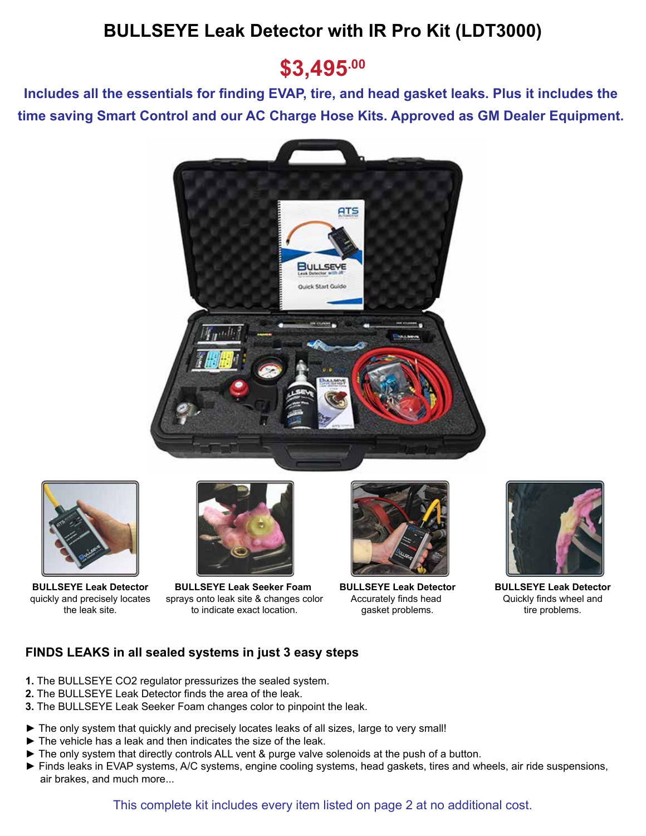## **BULLSEYE Leak Detector with IR Pro Kit (LDT3000)**

## **\$3,495.00**

**Includes all the essentials for finding EVAP, tire, and head gasket leaks. Plus it includes the time saving Smart Control and our AC Charge Hose Kits. Approved as GM Dealer Equipment.** 





**BULLSEYE Leak Detector** quickly and precisely locates the leak site.



**BULLSEYE Leak Seeker Foam**  sprays onto leak site & changes color to indicate exact location.



**BULLSEYE Leak Detector** Accurately finds head gasket problems.



**BULLSEYE Leak Detector** Quickly finds wheel and tire problems.

## **FINDS LEAKS in all sealed systems in just 3 easy steps**

- **1.** The BULLSEYE CO2 regulator pressurizes the sealed system.
- **2.** The BULLSEYE Leak Detector finds the area of the leak.
- **3.** The BULLSEYE Leak Seeker Foam changes color to pinpoint the leak.
- ► The only system that quickly and precisely locates leaks of all sizes, large to very small!
- ► The vehicle has a leak and then indicates the size of the leak.
- ► The only system that directly controls ALL vent & purge valve solenoids at the push of a button.
- ► Finds leaks in EVAP systems, A/C systems, engine cooling systems, head gaskets, tires and wheels, air ride suspensions, air brakes, and much more...

This complete kit includes every item listed on page 2 at no additional cost.